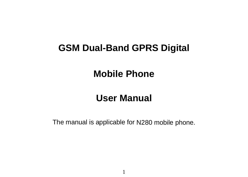# **GSM Dual-Band GPRS Digital**

# **Mobile Phone**

# **User Manual**

The manual is applicable for N280 mobile phone.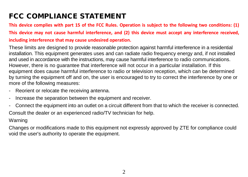# FCC COMPLIANCE STATEMENT

**This device complies with part 15 of the FCC Rules. Operation is subject to the following two conditions: (1) This device may not cause harmful interference, and (2) this device must accept any interference received, including interference that may cause undesired operation.**

These limits are designed to provide reasonable protection against harmful interference in a residential installation. This equipment generates uses and can radiate radio frequency energy and, if not installed and used in accordance with the instructions, may cause harmful interference to radio communications. However, there is no guarantee that interference will not occur in a particular installation. If this equipment does cause harmful interference to radio or television reception, which can be determined by turning the equipment off and on, the user is encouraged to try to correct the interference by one or more of the following measures:

- Reorient or relocate the receiving antenna.
- Increase the separation between the equipment and receiver.
- Connect the equipment into an outlet on a circuit different from that to which the receiver is connected. Consult the dealer or an experienced radio/TV technician for help.

# Warning

Changes or modifications made to this equipment not expressly approved by ZTE for compliance could void the user's authority to operate the equipment.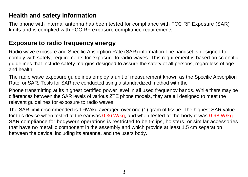# **Health and safety information**

The phone with internal antenna has been tested for compliance with FCC RF Exposure (SAR) limits and is complied with FCC RF exposure compliance requirements.

# **Exposure to radio frequency energy**

Radio wave exposure and Specific Absorption Rate (SAR) information The handset is designed to comply with safely, requirements for exposure to radio waves. This requirement is based on scientific guidelines that include safety margins designed to assure the safety of all persons, regardless of age and health.

The radio wave exposure guidelines employ a unit of measurement known as the Specific Absorption Rate, or SAR. Tests for SAR are conducted using a standardized method with the

Phone transmitting at its highest certified power level in all used frequency bands. While there may be differences between the SAR levels of various ZTE phone models, they are all designed to meet the relevant guidelines for exposure to radio waves.

The SAR limit recommended is 1.6W/kg averaged over one (1) gram of tissue. The highest SAR value for this device when tested at the ear was 0.36 W/kg, and when tested at the body it was 0.98 W/kg SAR compliance for bodyworn operations is restricted to belt-clips, holsters, or similar accessories that have no metallic component in the assembly and which provide at least 1.5 cm separation between the device, including its antenna, and the users body.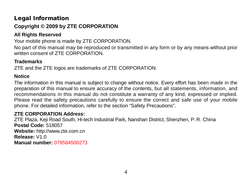# Legal Information **Copyright © 2009 by ZTE CORPORATION**

# **All Rights Reserved**

Your mobile phone is made by ZTE CORPORATION.

No part of this manual may be reproduced or transmitted in any form or by any means without prior written consent of ZTE CORPORATION

# **Trademarks**

ZTE and the ZTE logos are trademarks of ZTE CORPORATION.

# **Notice**

The information in this manual is subject to change without notice. Every effort has been made in the preparation of this manual to ensure accuracy of the contents, but all statements, information, and recommendations in this manual do not constitute a warranty of any kind, expressed or implied. Please read the safety precautions carefully to ensure the correct and safe use of your mobile phone. For detailed information, refer to the section "Safety Precautions".

# **ZTE CORPORATION Address:**

ZTE Plaza, Keji Road South, Hi-tech Industrial Park, Nanshan District, Shenzhen, P. R. China **Postal Code:** 518057 **Website:** http://www.zte.com.cn **Release:** V1.0 **Manual number:** 079584500273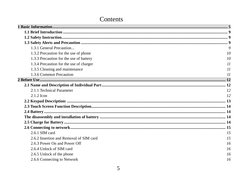# Contents

| 1.3.1 General Precaution                | $\overline{Q}$ |
|-----------------------------------------|----------------|
| 1.3.2 Precaution for the use of phone   | 10             |
| 1.3.3 Precaution for the use of battery | 10             |
| 1.3.4 Precaution for the use of charger | $_{II}$        |
| 1.3.5 Cleaning and maintenance          | $_{II}$        |
| 1.3.6 Common Precaution                 | $_{II}$        |
|                                         |                |
|                                         |                |
| 2.1.1 Technical Parameter               | 12             |
| 2.1.2 Icon                              | 12             |
|                                         |                |
|                                         |                |
|                                         |                |
|                                         |                |
|                                         |                |
|                                         |                |
| 2.6.1 SIM card                          | 1.5            |
| 2.6.2 Insertion and Removal of SIM card | 15             |
| 2.6.3 Power On and Power Off            | 16             |
| 2.6.4 Unlock of SIM card                | 16             |
| 2.6.5 Unlock of the phone               | 16             |
| 2.6.6 Connecting to Network             | 16             |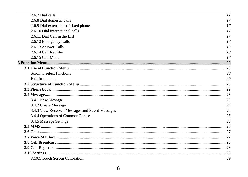| 2.6.7 Dial calls                                | 17 |
|-------------------------------------------------|----|
| 2.6.8 Dial domestic calls                       | 17 |
| 2.6.9 Dial extensions of fixed phones           | 17 |
| 2.6.10 Dial international calls                 | 17 |
| 2.6.11 Dial Call in the List                    | 17 |
| 2.6.12 Emergency Calls                          | 18 |
| 2.6.13 Answer Calls                             | 18 |
| 2.6.14 Call Register                            | 18 |
| 2.6.15 Call Menu                                | 18 |
|                                                 |    |
|                                                 |    |
| Scroll to select functions                      | 20 |
| Exit from menu                                  | 20 |
|                                                 |    |
|                                                 |    |
|                                                 |    |
| 3.4.1 New Message                               | 23 |
| 3.4.2 Create Message                            | 24 |
| 3.4.3 View Received Messages and Saved Messages | 24 |
| 3.4.4 Operations of Common Phrase               | 25 |
| 3.4.5 Message Settings                          | 25 |
|                                                 |    |
|                                                 |    |
|                                                 |    |
|                                                 |    |
|                                                 |    |
|                                                 |    |
| 3.10.1 Touch Screen Calibration:                | 29 |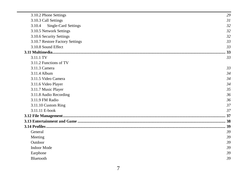| 3.10.2 Phone Settings           | 29  |
|---------------------------------|-----|
| 3.10.3 Call Settings            | 31  |
| Single-Card Settings<br>3.10.4  | 32  |
| 3.10.5 Network Settings         | 32  |
| 3.10.6 Security Settings        | 32  |
| 3.10.7 Restore Factory Settings | 33  |
| 3.10.8 Sound Effect             | 33  |
|                                 | .33 |
| 3.11.1 TV                       | 33  |
| 3.11.2 Functions of TV          |     |
| 3.11.3 Camera                   | 33  |
| 3 11 4 Album                    | 34  |
| 3.11.5 Video Camera             | 34  |
| 3.11.6 Video Player             | 34  |
| 3.11.7 Music Player             | 35  |
| 3.11.8 Audio Recording          | 36  |
| 3.11.9 FM Radio                 | 36  |
| 3.11.10 Custom Ring             | 37  |
| 3.11.11 E-book                  | 37  |
|                                 |     |
|                                 |     |
|                                 |     |
| General                         | 39  |
| Meeting                         | 39  |
| Outdoor                         | 39  |
| <b>Indoor Mode</b>              | 39  |
| Earphone                        | 39  |
| <b>Bluetooth</b>                | 39  |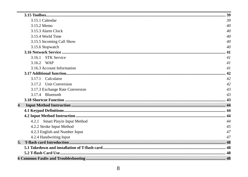|                         | 3.15.1 Calendar                 | 39 |
|-------------------------|---------------------------------|----|
|                         | 3.15.2 Memo                     | 40 |
|                         | 3.15.3 Alarm Clock              | 40 |
|                         | 3.15.4 World Time               | 40 |
|                         | 3.15.5 Incoming Call Show       | 40 |
|                         | 3.15.6 Stopwatch                | 40 |
|                         |                                 |    |
|                         | 3.16.1 STK Service              | 41 |
|                         | 3.16.2 WAP                      | 41 |
|                         | 3.16.3 Account Information      | 41 |
|                         |                                 |    |
|                         | 3.17.1 Calculator               | 42 |
|                         | 3.17.2 Unit Conversion          | 42 |
|                         | 3.17.3 Exchange Rate Conversion | 43 |
|                         | 3.17.4 Bluetooth                | 43 |
|                         |                                 |    |
| $\overline{\mathbf{4}}$ |                                 |    |
|                         |                                 |    |
|                         |                                 |    |
|                         | 4.2.1 Smart Pinyin Input Method | 44 |
|                         | 4.2.2 Stroke Input Method       | 45 |
|                         | 4.2.3 English and Number Input  | 47 |
|                         | 4.2.4 Handwriting Input         | 47 |
|                         |                                 |    |
|                         |                                 |    |
|                         |                                 |    |
|                         |                                 |    |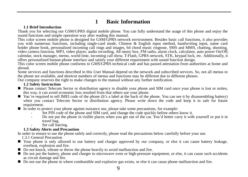# **1 Basic Information**

# **1.1 Brief Introduction**

<span id="page-8-0"></span>Thank you for selecting our GSM/GPRS digital mobile phone. You can fully understand the usage of this phone and enjoy the sound functions and simple operation way after reading this manual.

This color screen mobile phone is designed for GSM/GPRS network environment. Besides basic call functions, it also provides you with numerous functions, including single-card mode, Chinese & English input method, handwriting input, name card holder phone book, personalized incoming call rings and images, 64 chord music ringtone, SMS and MMS, chatting, shooting, video camera function. MP3, video player, auto power On/Off. calendar, stock manager, memo, world time, incoming call show. T-Flash, GPRS network, STK, keypad lock, etc. Additionally, it offers personalized human-phone interface and satisfy your different requirement with sound function design.

This color screen mobile phone conforms to GMS/GPRS technical code and has passed attestation from authorities at home and abroad.

Some services and functions described in this User Manual depend on the network and subscribed services. So, not all menus in the phone are available, and shortcut numbers of menus and functions may be different due to different phones.

<span id="page-8-1"></span>Our company reserves the right to make changes to the manual without any further notification.

# **1.2 Safety Instruction**

- Please contact Telecom Sector or distribution agency to disable your phone and SIM card once your phone is lost or stolen, this way, it can avoid economic loss resulted from that others use your phone.
- You're required to tell IMEI code of the phone (It's a label at the back of the phone. You can see it by disassembling battery) when you contact Telecom Sector or distribution agency. Please write down the code and keep it in safe for future requirement.<br>■ In order to protect your phone against nuisance use, please take some precautions, for example:
- -
	- Set PIN code of the phone and SIM card, and change the code quickly before others know it.<br>Do not put the phone in visible places when you get out of the car. You'd better carry it with yourself or put it in<br>travel bag.
	- Set call barring.

# **1.3 Safety Alerts and Precaution**

<span id="page-8-3"></span><span id="page-8-2"></span>In order to ensure to use the phone safely and correctly, please read the precautions below carefully before your use.<br>
131 General Precaution

- 
- Your phone is only allowed to use battery and charger approved by our company, or else it can cause battery leakage, overheat, explosion and fire company, or else it can cause battery leakage, Do not knock, vibrate or
- 
- $\blacksquare$  Do not put the battery, phone and charger to microwave oven or high-pressure equipment, or else, it can cause such accidents as circuit damage and fire.
- Do not use the phone in where combustible and explosive gas exists, or else it can cause phone malfunction and fire.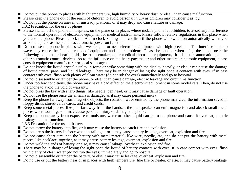- Do not put the phone to places with high temperature, high humidity or heavy dust, or else, it can cause malfunction.<br>■ Please keep the phone out of the reach of children to avoid personal injury as children may conside
- 
- Do not put the phone on uneven or unsteady platform, or it may drop and cause failure or damage.<br>1.3.2 Precaution for the use of phone
- <span id="page-9-0"></span> $\blacksquare$  Please switch off the phone in hospitals, on the plane or in places where mobile phone is forbidden, to avoid any interference to the normal operation of electronic equipment or medical instruments. Please follow relative regulations in this place when you use the phone. Please check the Alarm clock Settings and confirm if the phone will switch on automatically when you are on the plane as the plane has automatic power on function.
- Do not use the phone in places with weak signal or near electronic equipment with high precision. The interface of radio wave may cause the fault operation of equipment and other problems. Please be caution when using the phone near the following equipment: hearing aids, heart pacemaker, other medical electronic equipment, fire detector, automatic gate and other automatic control devices. As to the influence on the heart pacemaker and other medical electronic equipment, please
- $\Box$  Do not knock the liquid crystal display in force or strike something with the display heavily, or else it can cause the damage of liquid crystal panel and liquid leakage. There may be in danger of losing the sight once it contacts with eyes. If in case<br>contact with eyes. If ush with plenty of clean water (do not rub the eyes) immediately and go to
- $\blacksquare$  Do not disassemble or tamper the phone, or else it can cause damage, electric leakage and circuit malfunction.
- Under too few conditions, the phone may have a bad effect on the electronic equipment in some model cars. Then, do not use the phone to avoid the void of warranty.
- Do not press the key with sharp things, like needle, pen head, or it may cause damage or fault operation.<br>■ Do not use the phone once the antenna is damaged as it may cause personal injury.
- 
- Exep the phone far away from magnetic objects, the radiation wave emitted by the phone may clear the information saved in flompy disks, stored-value cards, and credit cards.
- Keep some metal pieces, like pin, far away from the handset, the loudspeaker can emit magnetism and absorb small metal pieces when working, so it may cause personal injury or damage the phone.
- $\blacksquare$  Keep the phone away from exposure to moisture, water or other liquid can go to the phone and cause it overheat, electric leakage and malfunction.
	-
- <span id="page-9-1"></span>1.3.3 Precaution for the use of battery<br>  $\blacksquare$  Do not throw the battery into fire, or it may cause the battery to catch fire and explosion.
- Do not press the battery in force when installing it, or it may cause battery leakage, overheat, explosion and fire.<br>■ Do not cause short circuit to the battery with metal material. like wire, needle, etc. and do not pu
- pieces, like necklace, together, as it may cause battery leakage, overheat, explosion and fire. Do not weld the ends of battery, or else, it may cause leakage, overheat, explosion and fire.
- 
- There may be in danger of losing the sight once the liquid of battery contacts with eyes. If in case contact with eyes, flush with plenty of clean water (do not rub the eyes) immediately and go to hospital.
- Do not disassemble or tamper the battery, or else it may cause leakage, overheat, explosion and fire.<br>■ Do no use or put the battery near or in places with high temperature. like fire or heater, or else, it may cause ba
-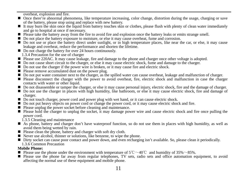- overheat, explosion and fire. Once there're abnormal phenomena, like temperature increasing, color change, distortion during the usage, charging or save of the battery, please stop using and replace with new battery.
- It may burn the skin once the liquid from battery touches skin or clothes, please flush with plenty of clean water immediately and go to hospital at once if necessary.
- Please take the battery away from the fire to avoid fire and explosion once the battery leaks or emits strange smell.
- Do not place the battery exposure to moisture, or else it may cause overheat, fume and corrosion.
- Do not use or place the battery direct under sunlight, or in high temperature places, like near the car, or else, it may cause leakage and overheat, reduce the performance and shorten the lifetime.
- <span id="page-10-0"></span>
	-
- Do not charge the battery for over 24 hours continuously.<br>
1.3.4 Precaution for the use of charger<br>
Please use 220AC. It may cause leakage, fire and damage to the phone and charger once other voltage is adopted.
- Do not cause short circuit to the charger, or else it may cause electric shock, fume and damage to the charger.<br>■ Do not use the charger if the nower wire is broken, or it may cause fire and electric shock.
- 
- 
- Please remove accumulated dust on the power plug.<br>■ Do not put water container next to the charger, as the spilled water can cause overheat, leakage and malfunction of charger.
- Please disconnect the charger with the power to avoid overheat, fire, electric shock and malfunction in case the charger contacts with water or other liquid.
- 
- Do not disassemble or tamper the charger, or else it may cause personal injury, electric shock, fire and the damage of charger.<br>■ Do not use the charger in places with high humidity, like bathroom, or else it may cause
- Do not touch charger, power cord and power plug with wet hand, or it can cause electric shock.<br>■ Do not put heavy objects on power cord or change the power cord, or it may cause electric shock and fire.
- 
- 
- Please unplug the power socket before cleaning and maintenance.<br>■ Please hold the charger to unplug the socket, it may damage power wire and cause electric shock and fire once pulling the power cord.<br>1.3.5 Cleaning and maintenance
	-
- <span id="page-10-1"></span>■ As phone, battery and charger don't have waterproof function, so do not use them in places with high humidity, as well as avoid them being wetted by rain.
- $\blacksquare$  Please clean the phone, battery and charger with soft dry cloth.<br> $\blacksquare$  Never use alcohol, thinner or solutions, like benzene, to wipe the phone.
- 
- <span id="page-10-2"></span>Dirty socket can cause poor contact and power down, and even recharging isn't available. So, please clean it periodically. 1.3.6 Common Precaution

# **Mobile Phone:**

- Please use the phone under the environment with temperature of  $5^{\circ}$   $\sim$  40 $^{\circ}$ C and humidity of 35%  $\sim$  85%.
- Please use the phone far away from regular telephones, TV sets, radio sets and office automation equipment, to avoid affecting the normal use of these equipment and mobile phone.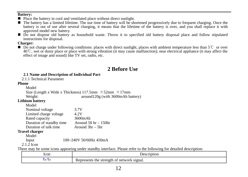- **Battery:** Place the battery in cool and ventilated place without direct sunlight.
- $\blacksquare$  The battery has a limited lifetime. The use time of battery will be shortened progressively due to frequent charging. Once the battery is out of use after several charging, it means that the lifetime of the battery is over, and you shall replace it with approved model new battery.
- Do not dispose old battery as household waste. Throw it to specified old battery disposal place and follow stipulated instructions for disposal.

## **Charger:**

<span id="page-11-0"></span>■ Do not charge under following conditions: places with direct sunlight, places with ambient temperature less than 5℃ or over 40℃, wet or dusty place or place with strong vibration (it may cause malfunction); near electrical appliance (it may affect the effect of image and sound) like  $TV$  set, radio, etc.

# **2 Before Use**

# **2.1 Name and Description of Individual Part**

<span id="page-11-1"></span>2.1.1 Technical Parameter

## <span id="page-11-2"></span>**Phone**

Model<sup>1</sup>

| 110001                                                               |                                    |
|----------------------------------------------------------------------|------------------------------------|
| Size (Length x Wide x Thickness) 117.5mm $\times$ 52mm $\times$ 17mm |                                    |
| Weight:                                                              | around 120g (with 3600mAh battery) |

# **Lithium battery**

| Model                    |                           |
|--------------------------|---------------------------|
| Nominal voltage          | 3.7V                      |
| Limited charge voltage   | 4.2V                      |
| Rated capacity           | 3600mAh                   |
| Duration of standby time | Around $50$ hr $- 150$ hr |
| Duration of talk time    | Around $3hr - 5hr$        |
|                          |                           |

# **Travel charger**

Model

Input 100~240V 50/60Hz 450mA

 $2.1.2$  Icon

<span id="page-11-3"></span>There may be some icons appearing under standby interface. Please refer to the following for detailed description:

| Icon<br>-- --- | ciption                                                       |  |
|----------------|---------------------------------------------------------------|--|
| - Talia        | signal.<br>network<br>Represents<br>strength<br>ΩŤ<br>the<br> |  |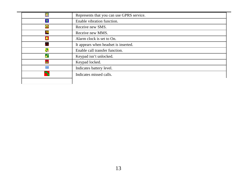<span id="page-12-0"></span>

|           | Represents that you can use GPRS service. |
|-----------|-------------------------------------------|
|           | Enable vibration function.                |
|           | Receive new SMS.                          |
|           | Receive new MMS.                          |
|           | Alarm clock is set to On.                 |
|           | It appears when headset is inserted.      |
| S.        | Enable call transfer function.            |
|           | Keypad isn't unlocked.                    |
| <b>RO</b> | Keypad locked.                            |
| m         | Indicates battery level.                  |
|           | Indicates missed calls.                   |
|           |                                           |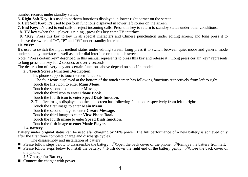number records under standby status.

**5. Right Soft Key:** It's used to perform functions displayed in lower right corner on the screen.

**6. Left Soft Key:** It's used to perform functions displayed in lower left corner on the screen.

**7. End Key:** It's used to end calls or reject incoming calls. Press this key to return to standby status under other conditions.

**8. TV key :**when the player is runing , press this key enter TV interface

**9. \*Key:** Press this key to key in all special characters and Chinese punctuation under editing screen; and long press it to achieve the switch of " $+$ ", "P" and "W" under standby interface.

# **10. #Key:**

It's used to switch the input method status under editing screen. Long press it to switch between quiet mode and general mode under standby interface as well as under dial interface on the touch screen.

Note: "Press certain key" described in this manual represents to press this key and release it; "Long press certain key" represents to long press this key for 2 seconds or over 2 seconds.

<span id="page-13-0"></span>The description of every key and certain functions above depend on specific models.

# **2.3 Touch Screen Function Description**

This phone supports touch screen function.

1. The four icons displayed at the bottom of the touch screen has following functions respectively from left to right:

Touch the first icon to enter **Main Menu**.

Touch the second icon to enter **Message**.

Touch the third icon to enter **Phone Book**.

Touch the fourth icon to enter **Speed Dials function**.

2. The five images displayed on the silk screen has following functions respectively from left to right:

Touch the first image to enter **Main Menu**.

Touch the second image to enter **Create Message**.

Touch the third image to enter **View Phone Book**.

Touch the fourth image to enter **Speed Dials function**.

Touch the fifth image to enter **Music Player**.

# **2.4 Battery**

<span id="page-13-1"></span>Battery under original status can be used afar charging by 50% power. The full performance of a new battery is achieved only after the first three complete charge and discharge cycles.

- <span id="page-13-2"></span>The disassembly and installation of battery<br> **Please follow steps below to disassemble the battery:** (Dopen the back cover of the phone:  $\oslash$ Remove the battery from left:
- Please follow steps below to install the battery: ①Push down the right end of the battery gently; ②Close the back cover of the phone.

# **2.5 Charge for Battery**

<span id="page-13-3"></span>Connect the charger with power.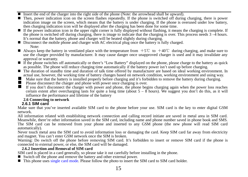- 
- Insert the end of the charger into the right side of the phone (Note: the arrowhead shall be upward).<br>■ Then, nower indication icon on the screen flashes reneatedly. If the phone is switched off during charging, there i indication image on the screen, which means that the battery is under charging. If the phone is overused under low battery, then charging indication icon will be displayed after the charging has been done for some time.
- If the power indication icon in the upper right corner is fully displayed without flashing, it means the charging is complete. If the phone is switched off during charging, there is image to indicate that the charging is over. This process needs  $3 - 4$  hours. It's normal that the battery, phone and charger will be heated slightly during charging.
- Disconnect the mobile phone and charger with AC electrical plug once the battery is fully charged. Note:
- Always keep the battery in ventilated place with the temperature from  $+5^{\circ}\text{C}$  to  $+40^{\circ}\text{C}$  during charging, and make sure to use the charger provided by manufacturer. It may cause danger once unapproved charger is used and it may invalidate any approval or warranty.
- $\blacksquare$  If the phone switches off automatically or there's "Low Battery" displayed on the phone, please charge to the battery as quick as possible. The phone will reduce charging time automatically if the battery power isn't used up before charging.
- The duration of standby time and duration of talk time offered by manufacturer are based on ideal working environment. In actual use, however, the working time of battery changes based on network condition, working envi
- Make sure that the battery is installed properly before charging and it's forbidden to remove the battery during charging. Please disconnect the charger and phone with power once charging is over.
- 
- **If** you don't disconnect the charger with power and phone, the phone begins charging again when the power loss reaches certain extent after overcharging lasts for quite a long time (about  $5 8$  hours). We suggest you do influence the performance and lifetime of the battery

# **2.6 Connecting to network**

# <span id="page-14-0"></span>**2.6.1 SIM card**

<span id="page-14-1"></span>Make sure that you've inserted available SIM card to the phone before your use. SIM card is the key to enter digital GSM network.

All information related with establishing network connection and calling record initiate are saved in metal area in SIM card. Meanwhile, there're other information saved in the SIM card, including name and phone number saved in phone book and SMS. The SIM card can be removed from your phone and inserted to any GSM phone (the new phone will read SIM card automatically).

Never touch metal area the SIM card to avoid information loss or damaging the card. Keep SIM card far away from electricity and magnet. You can't enter GSM network once the SIM is broken.

Warning: Do switch off the phone before removing SIM card. It's forbidden to insert or remove SIM card if the phone is connected to external power, or else, the SIM card will be damaged.

# **2.6.2 Insertion and Removal of SIM card**

<span id="page-14-2"></span>SIM card is placed in a card generally, so please take it out carefully before installing in the phone.

- Switch off the phone and remove the battery and other external power.
- This phone uses single card mode. Please follow the photo to insert the SIM card to SIM card holder.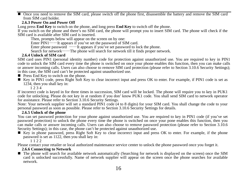Once you need to remove the SIM card, please switch off the phone first, disassemble the battery and remove the SIM card from  $\text{SIM}$  card holder.

# **2.6.3 Power On and Power Off**

<span id="page-15-0"></span>Long press **End Key** to switch on the phone, and long press **End Key** to switch off the phone.

If you switch on the phone and there's no SIM card, the phone will prompt you to insert SIM card. The phone will check if the SIM card is available after SIM card is inserted.

Then, prompts below will appear on the screen on by one:

Enter PIN1——It appears if you've set the password of SIM card.

Enter phone password  $-\frac{1}{x}$  appears if you've set password to lock the phone.

Search for network——The phone will search for network till it finds proper network.

# <span id="page-15-1"></span>**2.6.4 Unlock of SIM card**

SIM card uses PIN1 (personal identity number) code for protection against unauthorized use. You are required to key in PIN1 code to unlock the SIM card every time the phone is switched on once your phone enables this function, then you can make calls or answer incoming calls. Users can also choose to remove SIM card protection (please refer to Section 3.10.6 Security Settings); in this case, the SIM card can't be protected against unauthorized use.  $\blacksquare$  Press End Key to switch on the phone.

- 
- Key in PIN1 code, press Right Soft Key to clear incorrect input and press OK to enter. For example, if PIN1 code is set as 1234, then you shall key in:

12 3 4<br>If incorrect code is keved in for three times in succession. SIM card will be locked. The phone will require you to key in PUK1 code for unlocking. Please do not key in at random if you don' know PUK1 code. You shall send SIM card to network operator for assistance. Please refer to Section 3.10.6 Security Settings.

Note: Your network supplier will set a standard PIN1 code (4 to 8 digits) for your SIM card. You shall change the code to your<br>personal password as soon as possible. Please refer to Section 3.10.6 Security Settings for det

<span id="page-15-2"></span>**2.6.5 Unlock of the phone**<br>You can set password protection for your phone against unauthorized use. You are required to key in PIN1 code (if you've set password protection) to unlock the phone every time the phone is switched on once your pone enables this function, then you can make calls or answer incoming calls. Users can also choose to remove password protection (please refer to Section 3.10.6 Security Settings); in this case, the phone can't be protected against unauthorized use.

Key in phone password, press Right Soft Key to clear incorrect input and press OK to enter. For example, if the phone password is set as 1122, then you shall key in: 1 1 2 2

Please contact your retailer or local authorized maintenance service center to unlock the phone password once you forget it.

<span id="page-15-3"></span>**2.6.6 Connecting to Network**<br>■ The phone will search for available network automatically (Searching for network is displayed on the screen) once the SIM card is unlocked successfully. Name of network supplier will appear on the screen once the phone searches for available network.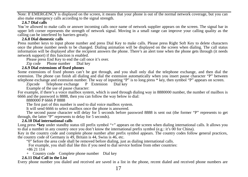Note: If EMERGENCY is displayed on the screen, it means that your phone is out of the normal network coverage, but you can also make emergency calls according to the signal strength.

# **2.6.7 Dial calls**

<span id="page-16-0"></span>You're allowed to make calls or answer incoming calls once name of network supplier appears on the screen. The signal bar in upper left corner represents the strength of network signal. Moving in a small range can improve your calling quality as the calling can be interfered by barriers greatly.

<span id="page-16-1"></span>2.6.8 Dial domestic calls<br>Press number keys to input phone number and press Dial Key to make calls. Please press Right Soft Key to delete characters once the phone number needs to be changed. Dialing animation will be displayed on the screen when dialing. The call status information will be displayed after the recipient answers the phone. There's an alert tone when the phone gets through (it needs network support) if this function is enabled.

Please press End Key to end the call once it's over.

Zip code Phone number Dial key

# **2.6.9 Dial extensions of fixed phones**

<span id="page-16-2"></span>Some extensions of fixed phones can't be got through, and you shall only dial the telephone exchange, and then dial the extension. The phone can finish all dialing and dial the extension automatically when you insert pause character "P" between telephone exchange and extension number. The way of inputting "P" is to long press \* key, then symbol "P" appears on screen.

Zipcode Telephone exchange P Extension Dial key

Example of the use of pause character:

For example, if there's a voice mailbox system, which is used through dialing way in 8880000 number, the number of mailbox is 6666 and the password is 8888, then you can follow the way below to dial: 8880000 P 6666 P 8888

The first part of this number is used to dial voice mailbox system.

It will send 6666 to select mailbox once the phone is answered.

The second pause character will delay for 5 seconds before password 8888 is sent out (the former "P" represents to get through, the latter "P" represents to delay for 5 seconds).

# **2.6.10 Dial international calls**

<span id="page-16-3"></span>Long press **\*key** under standby status till prefix symbol "+" appears on the screen when dialing international calls. It allows you to dial a number in any country once you don't know the international prefix symbol (e.g.: it's 00 for China).

Key in the country code and complete phone number after prefix symbol appears. The country codes follow general practices, the country code of Germany is 49, Britain is 44, Swiss is 46, etc.

"O" before the area code shall be removed before dialing, just as dialing international calls.

For example, you shall dial like this if you need to dial service hotline from other countries:

+86 21 114

+ Country code Complete phone number Dial key

# <span id="page-16-4"></span>**2.6.11 Dial Call in the List**

Every phone number you dialed and received are saved in a list in the phone, recent dialed and received phone numbers are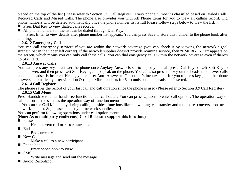placed on the top of the list (Please refer to Section 3.9 Call Register). Every phone number is classified based on Dialed Calls, Received Calls and Missed Calls. The phone also provides you with All Phone Items for you to view all calling record. Old phone numbers will be deleted automatically once the phone number list is full Please follow steps below to view the list:<br> **P** Press Dial Key to view dialed calls records:

- 
- $\blacksquare$  All phone numbers in the list can be dialed through Dial Key.

Press Enter to view details after phone number list appears. You can press Save to store this number to the phone book after entering.

# **2.6.12 Emergency Calls**

<span id="page-17-0"></span>You can call emergency services if you are within the network coverage (you can check it by viewing the network signal strength bar in the upper left corner). If the network supplier doesn't provide roaming service, then " the screen, which means you can only call these calls. You can dial emergency calls within the network coverage even if there's no SIM card.

# **2.6.13 Answer Calls**

<span id="page-17-1"></span>You can press any key to answer the phone once Anykey Answer is set to on, or you shall press Dial Key or Left Soft Key to enter answer, and then press Left Soft Key again to speak on the phone. You can also press the key on the headset to answer calls once the headset is inserted. Hence, you can set Auto Answer to On once it's inconvenient for you to press keys, and the phone answers automatically after vibration & ring or vibration lasts for 5 seconds once the headset is inserted.

# **2.6.14 Call Register**

<span id="page-17-3"></span><span id="page-17-2"></span>The phone saves the record of your last call and call duration since the phone is used (Please refer to Section 3.9 Call Register).

# **2.6.15 Call Menu**

Press Handsfree to enter handsfree function under call status. You can press Options to enter call options. The operation way of call options is the same as the operation way of function menus.

You can see Call Menu only during calling; besides, functions like call waiting, call transfer and multiparty conversation, need network support. So, please contact your network supplier.

You can perform following operations under call option menu:

# **(Note: As to multiparty conference, Card B doesn't support this function.)**<br>■ Pause Keep current call or restore saved call.

End

End current call.<br>
New Call

Make a call to a new participant.<br> $\blacksquare$  Phone book

Enter phone book to view.

 $\blacksquare$  SMS

Write message and send out the message.<br>  $\blacksquare$  Audio Recording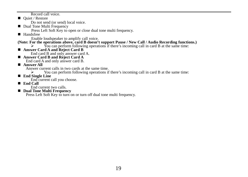Record call voice. ■ Quiet / Restore

Do not send (or send) local voice.

Dual Tone Multi Frequency

Press Left Soft Key to open or close dual tone multi frequency.

■ Handsfree

# Enable loudspeaker to amplify call voice.<br>(Note: For the operations above, card B doesn't support Pause / New Call / Audio Recording functions.)

- ► You can perform following operations if there's incoming call in card B at the same time:<br>
 Answer Card A and Reject Card B
- 
- End card B and only answer card A. **Answer Card B and Reject Card A** End card A and only answer card B. **Answer All**

Answer current calls in two cards at the same time.<br>Now can perform following operations if

- ◆ You can perform following operations if there's incoming call in card B at the same time:<br>  **End Single Line**
- 

**■ End current call you choose.**<br>■ **End Call** End current two calls.

**E** Dual Tone Multi Frequency<br>Press Left Soft Key to turn on or turn off dual tone multi frequency.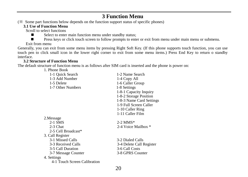# **3 Function Menu**

<span id="page-19-1"></span><span id="page-19-0"></span>(※ Some part functions below depends on the function support status of specific phones)

# <span id="page-19-2"></span>**3.1 Use of Function Menu**

Scroll to select functions

Select to enter main function menu under standby status;<br>Press keys or click touch screen to follow prompts to enter

Press keys or click touch screen to follow prompts to enter or exit from menu under main menu or submenu.

# Exit from menu

<span id="page-19-3"></span>Generally, you can exit from some menu items by pressing Right Soft Key. (If this phone supports touch function, you can use touch pen to click small icon in the lower right corner to exit from some menu items.) Press End Key to return o standby interface.

# **3.2 Structure of Function Menu**

<span id="page-19-4"></span>The default structure of function menu is as follows after SIM card is inserted and the phone is power on:

| 1. Phone Book                |                          |
|------------------------------|--------------------------|
| 1-1 Quick Search             | 1-2 Name Search          |
| 1-3 Add Number               | 1-4 Copy All             |
| 1-5 Delete                   | 1-6 Caller Group         |
| 1-7 Other Numbers            | 1-8 Settings             |
|                              | 1-8-1 Capacity Inquiry   |
|                              | 1-8-2 Storage Position   |
|                              | 1-8-3 Name Card Settings |
|                              | 1-9 Full Screen Caller   |
|                              | 1-10 Caller Ring         |
|                              | 1-11 Caller Film         |
| 2. Message                   |                          |
| $2-1$ SMS                    | $2 - 2$ MMS*             |
| $2-3$ Chat                   | 2-4 Voice Mailbox *      |
| 2-5 Cell Broadcast*          |                          |
| 3. Call Register             |                          |
| 3-1 Missed Calls             | 3-2 Dialed Calls         |
| 3-3 Received Calls           | 3-4 Delete Call Register |
| 3-5 Call Duration            | 3-6 Call Costs           |
| 3-7 Message Counter          | 3-8 GPRS Counter         |
| 4. Settings                  |                          |
| 4-1 Touch Screen Calibration |                          |
|                              |                          |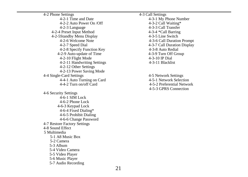4-2 Phone Settings  $4-3$  Call Settings  $4-3$  Call Settings  $4-3-1$  Time and Date 4-2-2 Auto Power On /Off<br>4-2-3 Language 4-2-4 Preset Input Method 4-3-4 \*Call Barring 4-2-5Standby Menu Display<br>4-2-6 Welcome Note 4-2-6 Welcome Note 4-3-6 Call Duration Prompt 4-2-8 Specify Function Key 4-3-8 Auto Redial<br>4-2-9 Auto-update of Time 4-3-9 Turn Off Group  $4-2-9$  Auto-update of Time  $4-3-9$  Turn Off  $4-3-10$  Flight Mode  $4-3-10$  Flight 4-2-10 Flight Mode<br>
4-2-11 Handwriting Settings<br>
4-3-11 Blacklist<br>
4-3-11 Blacklist 4-2-11 Handwriting Settings 4-2-12 Other Settings 4-2-13 Power Saving Mode 4-4 Single-Card Settings 4-5 Network Settings 4-4-1 Auto Turning on Card<br> $4-4-2$  Turn on/off Card 4-6 Security Settings 4-6-1 SIM Lock 4-6-2 Phone Lock 4-6-3 Keypad Lock 4-6-4 Fixed Dialing\* 4-6-5 Prohibit Dialing 4-6-6 Change Password 4-7 Restore Factory Settings 4-8 Sound Effect 5 Multimedia 5-1 A8 Music Box

5-2 Camera 5-3 Album 5-4 Video Camera 5-5 Video Player 5-6 Music Player 5-7 Audio Recording 4-3-1 My Phone Number<br>4-3-2 Call Waiting\* 4-3-3 Call Transfer<br>4-3-4 \*Call Barring 4-3-7 Call Duration Display<br>4-3-8 Auto Redial

4-5-2 Preferential Network 4-5-3 GPRS Connection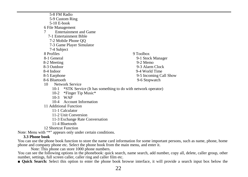5-8 FM Radio 5-9 Custom Ring 5-10 E-book 6 File Management 7 Entertainment and Game 7-1 Entertainment Bible 7-2 Mobile Phone QQ 7-3 Game Player Simulator 7-4 Subject<br>8 Profiles 8 Profiles 9 Toolbox 8-1 General 9-1 Stock Manager  $8-2$  Meeting  $9-2$  Memo $\overline{9-3}$  Alarm 8-3 Outdoor 9-3 Alarm Clock<br>8-4 Indoor 9-4 World Time 9-4 World Time 8-5 Earphone 9-5 Incoming Call Show<br>8-6 Bluetooth 9-6 Stonwatch 9-6 Stopwatch 10 Network Service 10-1 \*STK Service (It has something to do with network operator) 10-2 \*Finger Tip Music\* 10-3 WAP

- 10-4 Account Information
- 11 Additional Function
	- 11-1 Calculator
	- 11-2 Unit Conversion

11-3 Exchange Rate Conversation

11-4 Bluetooth

12 Shortcut Function

<span id="page-21-0"></span>Note: Menu with "\*" appears only under certain conditions.

# **3.3 Phone book**

You can use the phone book function to store the name card information for some important persons, such as name, phone, home phone and company phone etc. Select the phone book from the main menu, and enter it.

You can see the following options in the phonebook: quick search, name search, add number, copy all, delete, caller group, other number, settings, full screen caller, caller ring and caller film etc.

■ **Quick Search:** Select this option to enter the phone book browse interface, it will provide a search input box below the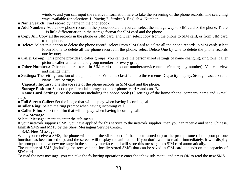window, and you can input the relative information here to take the screening of the phone records. The searching ways available for selection: 1. Pinyin; 2. Stroke; 3. English 4. Number.

- **Name Search:** Find record by name in the phonebook.
- **Add Number:** Add a new phone record in the phonebook, and you can select the storage way to SIM card or the phone. There is little differentiation in the storage format for SIM card and the phone.
- **Copy All:** Copy all the records in the phone or SIM card, and it can select copy from the phone to SIM card, or from SIM card to the phone.
- **Delete:** Select this option to delete the phone record; select From SIM Card to delete all the phone records in SIM card; select From Phone to delete all the phone records in the phone; select Delete One by One to delete the phone records one by one;
- **Caller Group:** This phone provides 5 caller groups, you can take the personalized settings of name changing, ring tone, caller picture, caller animation and group member for every group.
- **Other Numbers:** Other numbers stored in SIM card (this phone number/service number/emergency number). You can view and change them.
- **Settings:** The setting function of the phone book. Which is classified into three menus: Capacity Inquiry, Storage Location and Name Card Settings.

**Capacity Inquiry:** The storage sate of the phone records in SIM card and the phone.

**Storage Position:** Select the preferential storage position: phone, card A and card B.

**Name Card Settings:** Set the contents including the phone book (10 settings of the home phone, company name and E-mail etc.).

- **Full Screen Caller:** Set the image that will display when having incoming call.
- ■**Caller Ring:** Select the ring prompt when having incoming call.
- <span id="page-22-0"></span>■ **Caller Film:** Select the film that will display when having incoming call.

# **3.4 Message**

Select "Message" menu to enter the sub-menu.

If your network supports SMS, you have applied for this service to the network supplier, then you can receive and send Chinese, English SMS and MMS by the Short Messaging Service Center.

# **3.4.1 New Message**

<span id="page-22-1"></span>When you receive a SMS, the phone will sound the vibration (if it has been turned on) or the prompt tone (if the prompt tone function has been turned on), and the screen will display the animation. If you don't want to read it immediately, it will display the prompt that have new message in the standby interface, and will store this message into SIM card automatically.

The number of SMS (including the received and locally stored SMS) that can be saved in SIM card depends on the capacity of SIM card.

To read the new message, you can take the following operations: enter the inbox sub-menu, and press OK to read the new SMS.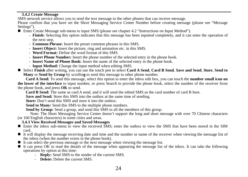<span id="page-23-0"></span>**3.4.2 Create Message** 

Please confirm that you have set the Short Messaging Service Center Number before creating message (please see "Message" Settings").

■ Enter Create Message sub-menu to input SMS (please see chapter 4.2 "Instructions on Input Method").

- **Finish:** Selecting this option indicates that this message has been inputted completely, and it can enter the operation of the next step.
- **Common Phrase:** Insert the preset common phrases in this SMS.
- **Insert Object:** Insert the picture, ring and animation etc. in this SMS.
- **Word Format:** Define the word format of this SMS.
- **Insert Phone Number:** Insert the phone number of the selected entry in the phone book.
- **Insert Name of Phone Book:** Insert the name of the selected entry in the phone book.
- **Input Method:** Change the input method when editing SMS.
- Select **Finish** after writing, you can use the touch pen to select **Card A Send**, **Card B Send**, **Save and Send**, **Store**, **Send to Many** or **Send by Group** by scrollin**g** to send this message to other phone number.

**Card A Send:** To send this message, select this option to enter the inbox edit box, you can touch the **number small icon on the lower of the interface** to input number, or press Search to provide the phone book, select the number of the receiver from the phone book, and press **OK** to send.

**Card B Send:** The same as card A send, and it will send the edited SMS as the card number of card B here.

**Save and Send:** Store this SMS into the outbox at the same time of sending.

Store: Don't send this SMS and store it into the outbox.

**Send to Many:** Send this SMS to the multiple phone numbers.

**Send by Group:** Send a group, and send this SMS to all the members of this group.

Note: The Short Messaging Service Center doesn't support the long and short message with over 70 Chinese characters (or 160 English characters) in some cities and areas.

# **3.4.3 View Received Messages and Saved Messages**

- <span id="page-23-1"></span>Enter the inbox sub-menu to view the received SMS; enter the outbox to view the SMS that have been stored in the SIM card.
- $\blacksquare$  It will display the message receiving date and time and the number or name of the receiver when viewing the message list of the inhox (when the number exists in the phone book).
- $\blacksquare$  It can select the previous message or the next message when viewing the message list.
- It can press OK to read the details of the message when appearing the message list of the inbox. It can take the following operations by option at this time:
	- **Reply:** Send SMS to the sender of the current SMS.
	- **Delete:** Delete the current SMS.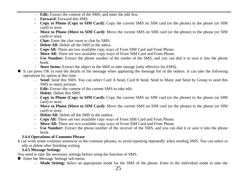- **Edit:** Extract the content of the SMS, and enter the edit box.
- **Forward:** Forward this SMS.
- **Copy to Phone (Copy to SIM Card):** Copy the current SMS on SIM card (or the phone) to the phone (or SIM card) to store.
- **Move to Phone (Move to SIM Card):** Move the current SMS on SIM card (or the phone) to the phone (or SIM card) to store.
- **Chat:** Enter the chat room to chat by SMS.
- **Delete All:** Delete all the SMS in the inbox.
- **Copy All:** There are two available copy ways of From SIM Card and From Phone.
- **Move All:** There are two available copy ways of From SIM Card and From Phone.
- **Use Number:** Extract the phone number of the sender of the SMS, and you can dial it or save it into the phone book.
- **Store Items:** Extract the object in the SMS to take storage (only effective for EMS).
- It can press OK to read the details of the message when appearing the message list of the outbox. It can take the following operations by option at this time:
	- **Send:** Send this SMS. You can select Card A Send, Card B Send, Send to Many and Send by Group to send this SMS to many persons.
	- **Edit:** Extract the content of the current SMS to take edit.
	- **Delete:** Delete this SMS.
	- **Copy to Phone (Copy to SIM Card):** Copy the current SMS on SIM card (or the phone) to the phone (or SIM card) to store.
	- **Move to Phone (Move to SIM Card):** Move the current SMS on SIM card (or the phone) to the phone (or SIM card) to store.
	- **Delete All:** Delete all the SMS in the outbox.
	- **Copy All:** There are two available copy ways of From SIM Card and From Phone.
	- **Move All:** There are two available copy ways of From SIM Card and From Phone.
	- **Use Number:** Extract the phone number of the receiver of the SMS, and you can dial it or save it into the phone book.

# <span id="page-24-0"></span>**3.4.4 Operations of Common Phrase**

It can write some common sentences in the common phrases, to avoid inputting repeatedly when sending SMS. You can select to edit or delete after finishing writing.

# **3.4.5 Message Settings**

<span id="page-24-1"></span>You need to take the necessary settings before using the function of SMS.

- Enter the Message Settings sub-menu:
	- **Mode Setting:** Select an appropriate mode for the SMS of the phone. Enter to the individual mode to take the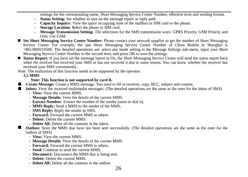settings for the corresponding name, Short Messaging Service Center Number, effective term and sending format.

- **Status Setting:** Set whether to turn on the message report or reply path.
- **Capacity Inquiry:** View the space occupying state of the mailbox in SIM card or the phone.
- **Storage Location: S**elect the phone or SIM card.
- **Message Transmission Setting:** The selections for the SMS transmission ways: GPRS Priority, GSM Priority and Only Use GSM.
- **Set Short Messaging Service Center Number:** Please contact your network supplier to get the number of Short Messaging Service Center. For example, the one Short Messaging Service Center Number of China Mobile in Shanghai is +8613800210500. The detailed operations are: select any mode setting in the Message Settings sub-menu, input your Short Messaging Service Center Number in the second item, and press OK to save the settings.
- **Status Report:** If you have set the message report to On, the Short Messaging Service Center will send the status report back when the receiver has received your SMS or has not received it due to some reason. You can know whether the receiver has received your SMS conveniently.

<span id="page-25-0"></span>Note: The realization of this function needs to be supported by the operator.

## **3.5 MMS**

### **Note: This function is not supported by card B.**

- **Create Message:** Create a MMS message. You need to fill in receiver, copy, BCC, subject and content.
- **Inbox:** View the received multimedia messages. (The detailed operations are the same as the ones for the inbox of SMS)
	- **View:** View the current MMS.
	- **Message Details:** View the details of the current MMS.
	- **Extract Number:** Extract the number of the sender (store or dial it).
	- **MMS Reply:** Send a MMS to the sender of the MMS.
	- **SMS Reply:** Reply the sender in SMS.
	- **Forward:** Forward the current MMS to others.
	- **Delete:** Delete the current MMS.
	- **Delete All:** Delete all the contents in the inbox.
	- **Outbox:** Store the MMS that have not been sent successfully. (The detailed operations are the same as the ones for the outbox of SMS)
		- **View:** View the current MMS.
		- **Message Details:** View the details of the current MMS.
		- **Forward:** Forward the current MMS to others.
		- **Send:** Continue to send the current MMS.
		- **Disconnect:** Disconnect the MMS that is being sent.
		- **Delete:** Delete the current MMS.
		- **Delete All:** Delete all the contents in the outbox.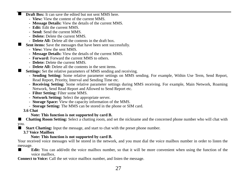- **Draft Box:** It can save the edited but not sent MMS here.
	- **View:** View the content of the current MMS.
	- **Message Details:** View the details of the current MMS.
	- **Edit:** Edit the current MMS.
	- **Send:** Send the current MMS.
	- **Delete:** Delete the current MMS.
	- **Delete All:** Delete all the contents in the draft box.
- Sent items: Save the messages that have been sent successfully.
	- **View:** View the sent MMS.
	- **Message Details:** View the details of the current MMS.
	- **Forward:** Forward the current MMS to others.
	- **Delete:** Delete the current MMS.
	- **Delete All:** Delete all the contents in the sent items.
- **Settings:** Set the relative parameters of MMS sending and receiving.
	- **Sending Setting:** Some relative parameter settings on MMS sending. For example, Within Use Term, Send Report, Read Report, Priority, Interval and Sending Time etc.
	- **Receiving Setting:** Some relative parameter settings during MMS receiving. For example, Main Network, Roaming Network, Send Read Report and Allowed to Send Report etc.
	- **Filter Setting:** Filter some MMS.
	- **Network Setting:** Select the appropriate server.
	- **Storage Space:** View the capacity information of the MMS.
	- **Storage Setting:** The MMS can be stored in the phone or SIM card.
- <span id="page-26-0"></span>**3.6 Chat**

# **Note: This function is not supported by card B.**

■ **Chatting Room Setting:** Select a chatting room, and set the nickname and the concerned phone number who will chat with you.

<span id="page-26-1"></span>**Start Chatting:** Input the message, and start to chat with the preset phone number.

**3.7 Voice Mailbox** 

# **Note: This function is not supported by card B.**

Your received voice messages will be stored in the network, and you must dial the voice mailbox number in order to listen the message.

■ **Edit:** You can add/edit the voice mailbox number, so that it will be more convenient when using the function of the voice mailbox.

**Connect to Voice:** Call the set voice mailbox number, and listen the message.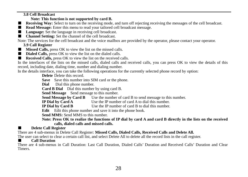# <span id="page-27-0"></span>**3.8 Cell Broadcast**

# **Note: This function is not supported by card B.**

- **Receiving Way:** Select to turn on the receiving mode, and turn off rejecting receiving the messages of the cell broadcast.
- **Read Message:** Enter this menu to read your tailored cell broadcast message.
- **Language:** Set the language in receiving cell broadcast.
- **Channel Setting:** Set the channel of the cell broadcast.
- <span id="page-27-1"></span>Note: The services for the cell broadcast and the voice mailbox are provided by the operator, please contact your operator.

# **3.9 Call Register**

- **Missed Calls, press OK** to view the list on the missed calls.
- **Dialed Calls**, press OK to view the list on the dialed calls.
- **Received Calls, press OK** to view the list on the received calls.

In the interfaces of the lists on the missed calls, dialed calls and received calls, you can press OK to view the details of this record, including date, dialing time, number and dialing number.

In the details interface, you can take the following operations for the currently selected phone record by option:

**Delete** Delete this record.

**Save** Save this number into SIM card or the phone.

**Dial** Dial this phone number.

**Card B Dial** Dial this number by using card B.

Send Message Send message to this number.

**Send Message by Card B** Use the number of card B to send message to this number.<br>**IP Dial by Card A** Use the IP number of card A to dial this number.

**IP Dial by Card A** Use the IP number of card A to dial this number.<br> **IP Dial by Card B** Use the IP number of card B to dial this number.

**I** Use the IP number of card B to dial this number.

**Edit** Edit this phone number and save it into the phone book.

Send MMS: Send MMS to this number.

**Note: Press OK to realize the functions of IP dial by card A and card B directly in the lists on the received calls, dialed calls and missed calls.** 

# ■ **Delete Call Register**

There are 4 sub-menus in Delete Call Register: **Missed Calls, Dialed Calls, Received Calls and Delete All.**

The user can select to clear a certain call list, and select Delete All to delete all the record lists in the call register.

# ■ **Call Duration**

There are 4 sub-menus in Call Duration: Last Call Duration, Dialed Calls' Duration and Received Calls' Duration and Clear **Timers**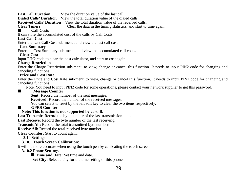**Last Call Duration** View the duration value of the last call. **Dialed Calls' Duration** View the total duration value of the dialed calls.

**Received Calls' Duration** View the total duration value of the received calls.<br>Clear Timers Clear the data in the timing statistics, and start to

**Clear the data in the timing statistics, and start to time again.**<br> **Call Costs** 

It can store the accumulated cost of the calls by Call Costs.

# **Last Call Cost**

Enter the Last Call Cost sub-menu, and view the last call cost.

# **Cost Summary**

Enter the Cost Summary sub-menu, and view the accumulated call costs. **Clear Cost** 

Input PIN2 code to clear the cost calculator, and start to cost again.

# **Charge Restriction**

Enter the Charge Restriction sub-menu to view, change or cancel this function. It needs to input PIN2 code for changing and canceling functions.

# **Price and Cost Rate**

Enter the Price and Cost Rate sub-menu to view, change or cancel this function. It needs to input PIN2 code for changing and canceling functions.

Note: You need to input PIN2 code for some operations, please contact your network supplier to get this password.<br>Message Counter

# ■ **Message Counter**

**Sent:** Record the number of the sent messages.

**Received:** Record the number of the received messages.

You can select to reset by the left soft key to clear the two items respectively.

# ■ **GPRS Counter**

# **Note: This function is not supported by card B.**

Last Transmit: Record the byte number of the last transmission.

**Last Receive:** Record the byte number of the last receiving.

**Transmit All:** Record the total transmitted byte number.

**Receive All:** Record the total received byte number.

<span id="page-28-0"></span>**Clear Counter:** Start to count again.

# **3.10 Settings**

# **3.10.1 Touch Screen Calibration:**

<span id="page-28-2"></span><span id="page-28-1"></span>It will be more accurate when using the touch pen by calibrating the touch screen.

# **3.10.2 Phone Settings**

**Time and Date:** Set time and date.

- **Set City:** Select a city for the time setting of this phone.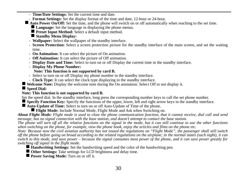- **Time/Date Settings:** Set the current time and date.
- **Format Settings:** Set the display format of the time and date, 12-hour or 24-hour.
- **Auto Power On/Off:** Set the time, and the phone will switch on or off automatically when reaching to the set time.
	- **Language:** Set the language in displaying the phone menus.
	- **Preset Input Method:** Select a default input method.
	- **Standby Menu Display:**
	- **Wallpaper:** Select the wallpaper of the standby interface.
	- **Screen Protection:** Select a screen protection picture for the standby interface of the main screen, and set the waiting time.
	- **On Animation:** It can select the picture of On animation.
	- **Off Animation:** It can select the picture of Off animation.
	- **Display Date and Time:** Select to turn on or off Display the current time in the standby interface.
	- **Display My Phone Number:**

# **Note: This function is not supported by card B.**

- Select to turn on or off Display my phone number in the standby interface.
- **Clock Type:** It can select the clock type displaying in the standby interface.

**Welcome Note:** Display the welcome note during the On animation. Select Off to not display it.

# **Speed Dial:**

# **Note: This function is not supported by card B.**

Set the speed dial. In the standby interface, long press the corresponding number keys to call the set phone number.

**Specify Function Key:** Specify the functions of the upper, lower, left and right arrow keys in the standby interface.

- **Auto-Update of Time:** Select to turn on or off Auto-Update of Time of the phone.
	- **Flight Mode:** Include Normal Mode, Flight Mode and Ask when Switching on.

*About Flight Mode: Flight mode is used to close the phone communication function, that it cannot receive, dial call and send message, has no signal connection with the base station, and doesn't attempt to contact the base station.* 

*The phone will turn off all the relative functions on the signal in the mode, but it can still continue to use the other functions when switching on the phone, for example, view the phone book, enjoy the articles and films on the phone etc.* 

*Note: Because now the civil aviation authority has not issued the regulations on "Flight Mode", the passenger shall still switch off the phone before going on broad according to the related regulations on the airplane; in the normal states (such night), it can switch to this mode, and save power – because the signal consumes most power of the phone, and it can save power greatly for switching off signal in the flight mode.* 

- **Handwriting Settings:** Set the handwriting speed and the color of the handwriting pen.
- **Other Settings:** Take settings for LCD brightness and delay time.
- **Power Saving Mode:** Turn on or off it.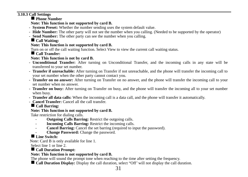<span id="page-30-0"></span>**3.10.3 Call Settings** 

**Phone Number** 

**Note: This function is not supported by card B.** 

- **System Preset:** Whether the number sending uses the system default value.
- **Hide Number:** The other party will not see the number when you calling. (Needed to be supported by the operator)
- **Send Number:** The other party can see the number when you calling.

# **Call Waiting:**

# **Note: This function is not supported by card B.**

Turn on or off the call waiting function. Select View to view the current call waiting status.

**Call Transfer:** 

# **Note: This function is not by card B.**

- **Unconditional Transfer:** After turning on Unconditional Transfer, and the incoming calls in any state will be transferred to your set number.
- **Transfer if unreachable:** After turning on Transfer if not unreachable, and the phone will transfer the incoming call to your set number when the other party cannot contact you.
- **Transfer on no answer:** After turning on Transfer on no answer, and the phone will transfer the incoming call to your set number when no answer.
- **Transfer on busy:** After turning on Transfer on busy, and the phone will transfer the incoming all to your set number when busy.
- **Transfer all data calls:** When the incoming call is a data call, and the phone will transfer it automatically.
- **Cancel Transfer:** Cancel all the call transfer.

# **Call Barring:**

# **Note: This function is not supported by card B.**

Take restriction for dialing calls.

- **Outgoing Calls Barring:** Restrict the outgoing calls.
- **Incoming Calls Barring:** Restrict the incoming calls.
- **Cancel Barring:** Cancel the set barring (required to input the password).
- **Change Password:** Change the password.

# **Line Switch:**

Note: Card B is only available for line 1.

Select line 1 or line 2.

# **Call Duration Prompt:**

# **Note: This function is not supported by card B.**

The phone will sound the prompt tone when reaching to the time after setting the frequency.

**Call Duration Display:** Display the call duration, select "Off" will not display the call duration.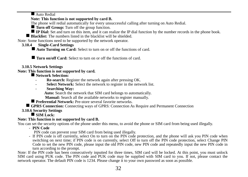Auto Redial

# **Note: This function is not supported by card B.**

The phone will redial automatically for every unsuccessful calling after turning on Auto Redial.

**Turn off Group:** Turn off the group function.

**IP Dial:** Set and turn on this item, and it can realize the IP dial function by the number records in the phone book.

**Blacklist:** The numbers listed in the blacklist will be shielded.

<span id="page-31-0"></span>Note: Some functions need to be supported by the network operator.

# **3.10.4 Single-Card Settings**

Auto Turning on Card: Select to turn on or off the functions of card.

**Turn on/off Card:** Select to turn on or off the functions of card.

# <span id="page-31-1"></span>**3.10.5 Network Settings**

# **Note: This function is not supported by card.**

# **Network Selection:**

- **Re-search:** Register the network again after pressing OK.
- Select Network: Select the network to register in the network list.
- **Searching Way:**

**Auto:** Search the network that SIM card belongs to automatically.

 **Manual:** Search all the available networks to register manually.

**Preferential Network:** Pre-store several favorite networks.

**GPRS Connection:** Connecting ways of GPRS: Connection As Require and Permanent Connection

<span id="page-31-2"></span>**3.10.6 Security Settings** 

# SIM Lock:

# **Note: This function is not supported by card B.**

You can set the security options of the phone under this menu, to avoid the phone or SIM card from being used illegally.

- **PIN Code** 

PIN code can prevent your SIM card from being used illegally.

- If PIN code is off currently, select On to turn on the PIN code protection, and the phone will ask you PIN code when switching on next time; if PIN code is on currently, select Off to turn off the PIN code protection, select Change PIN Code to set the new PIN code, please input the old PIN code, new PIN code and repeatedly input the new PIN code in turn according to the prompt.

Note: If the PIN code has been consecutively inputted for three times, SIM card will be locked. At this point, you must unlock SIM card using PUK code. The PIN code and PUK code may be supplied with SIM card to you. If not, please contact the network operator. The default PIN code is 1234. Please change it to your own password as soon as possible.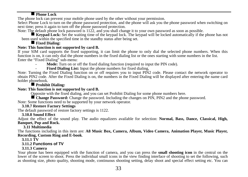# **Phone Lock**

The phone lock can prevent your mobile phone used by the other without your permission.

Select Phone Lock to turn on the phone password protection, and the phone will ask you the phone password when switching on next time: press it again to turn off the phone password protection.

Note: The default phone lock password is 1122, and you shall change it to your own password as soon as possible.

**Keypad Lock:** Set the waiting time of the keypad lock. The keypad will be locked automatically if the phone has not been used within the specified time in the standby status after being set.

# **Fixed Dialing:**

Note: This function is not supported by card B.<br>If your SIM card supports the fixed supporting, it can limit the phone to only dial the selected phone numbers. When this function is on, it can only dial the phone numbers in the fixed dialing list or the ones starting with some numbers in the list. Enter the "Fixed Dialing" sub-menu:

Mode: Turn on or off the fixed dialing function (required to input the PIN code).

**Fixed Dialing List:** Input the phone numbers for fixed dialing.

Note: Turning the Fixed Dialing function on or off requires you to input PIN2 code. Please contact the network operator to obtain PIN2 code. After the Fixed Dialing is on, the numbers in the Fixed Dialing will be displayed after entering the name card holder phonebook.

# **Prohibit Dialing:**

# **Note: This function is not supported by card B.**

Opposite with the fixed dialing, and you can set Prohibit Dialing for some phone numbers here.

 **Change Password:** Change the password. Including the changes on PIN, PIN2 and the phone password. Note: Some functions need to be supported by your network operator.

# <span id="page-32-0"></span>**3.10.7 Restore Factory Settings**

The default password of restore factory settings is 1122.

# **3.10.8 Sound Effect**

<span id="page-32-1"></span>Adjust the effect of the sound play. The audio equalizers available for selection: **Normal, Bass, Dance, Classical, High, Banquet, Pop and Rock.** 

# **3.11 Multimedia**

<span id="page-32-2"></span>The functions including in this item are: **A8 Music Box, Camera, Album, Video Camera, Animation Player, Music Player, Recording, Custom Ring and E-book**.

<span id="page-32-3"></span>**3.11.1 TV** 

# **3.11.2 Functions of TV**

# **3.11.3 Camera**

<span id="page-32-4"></span>Your phone has been equipped with the function of camera, and you can press the **small shooting icon** in the central on the lower of the screen to shoot. Press the individual small icons in the view finding interface of shooting to set the following, such as shooting size, photo quality, shooting mode, continuous shooting setting, delay shoot and special effect setting etc. You can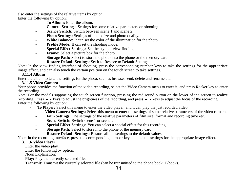also enter the settings of the relative items by option. Enter the following by option:

- **To Album:** Enter the album.
- **Camera Settings:** Settings for some relative parameters on shooting
- **Scence Switch:** Switch between scene 1 and scene 2.
- **Photo Settings:** Settings of photo size and photo quality.
- **White Balance:** It can set the color of the illumination for the photo.
- **Profile Mode:** It can set the shooting mode.
- Special Effect Settings: Set the style of view finding.
- **Frame:** Select a picture box for the photo.
- **Storage Path:** Select to store the photo into the phone or the memory card.
- **Restore Default Settings:** Set it to Restore to Default Settings.

Note: In the view finding interface of shooting, press the corresponding number keys to take the settings for the appropriate image effect, and can also touch the certain position on the touch screen to take settings.

# **3.11.4 Album**

<span id="page-33-1"></span><span id="page-33-0"></span>Enter the album to take the settings for the photo, such as browse, send, delete and rename etc.

# **3.11.5 Video Camera**

Your phone provides the function of the video recording, select the Video Camera menu to enter it, and press Rocker key to enter the recording.

Note: For the models supporting the touch screen function, pressing the red round button on the lower of the screen to realize recording. Press  $\blacktriangle$   $\blacktriangleright$  keys to adjust the brightness of the recording, and press  $\blacktriangle$   $\blacktriangleright$  keys to adjust the focus of the recording. Enter the following by option:

- **To Player:** Select this menu to enter the video player, and it can play the just recorded video.
	- **Video Camera Settings:** Select this menu to enter the settings of some relative parameters of the video camera.
	- **Film Settings:** The settings of the relative parameters of film size, format and recording time etc.
	- **Scene Switch:** Switch scene 1 or scene 2.
	- **Special Effect Settings:** You can select a special effect for this recording.
	- **Storage Path:** Select to store into the phone or the memory card.
	- **Restore Default Settings:** Restore all the settings to the default values.

<span id="page-33-2"></span>Note: In the recording interface, press the corresponding number keys to take the settings for the appropriate image effect.

# **3.11.6 Video Player**

Enter the video play.

Enter the following by option.

Noun Explanation:

Play: Play the currently selected file.

**Transmit:** Transmit the currently selected file (can be transmitted to the phone book, E-book).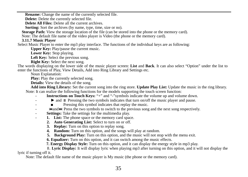**Rename:** Change the name of the currently selected file.

**Delete:** Delete the currently selected file.

**Delete All Files:** Delete all the current archives.

**Sorting:** Sort the archives (by name, type, time, size or no).

**Storage Path:** View the storage location of the file (can be stored into the phone or the memory card).

Note: The default file name of the video player is Video (the phone or the memory card).

# <span id="page-34-0"></span>**3.11.7 Music Player**

Select Music Player to enter the mp3 play interface. The functions of the individual keys are as following:

**Upper Key:** Play/pause the current music.

**Lower Key:** Stop playing.

**Left Key:** Select the previous song.

**Right Key:** Select the next song.

The words displaying on the lower side of the music player screen: **List** and **Back**. It can also select "Option" under the list to enter the functions of Play, View Details, Add into Ring Library and Settings etc.

Noun Explanation:

Play: Play the currently selected song.

**Details:** View the details of the song.

**Add into Ring Library:** Set the current song into the ring store. **Update Play List:** Update the music in the ring library. Note: It can realize the following functions for the models supporting the touch screen function:

- **Instructions on Touch Keys:** "+" and "-"symbols indicate the volume up and volume down.
	- $\blacktriangleright$  and  $\blackparallel$  Pressing the two symbols indicates that turn on/off the music player and pause.
		- Pressing this symbol indicates that replay the music.
- and Press the two symbols to switch to the previous song and the next song respectively.
- Settings: Take the settings for the multimedia play.
- **1. List:** The phone space or the memory card space.
	- **2. Auto Generating List:** Select to turn on or off.
	- **3. Replay:** Turn on this option to replay song.
	- **4. Random:** Turn on this option, and the songs will play at random.
	- **5. Background Play:** Turn on this option, and the music will not stop with the menu exit.
	- **6. Equalizer:** Turn on this option, and it can switch among the music effects.
	- **7. Energy Display Style:** Turn on this option, and it can display the energy style in mp3 play.

8.**Lyric Display:** It will display lyric when playing mp3 after turning on this option, and it will not display the lyric if turning off it.

Note: The default file name of the music player is My music (the phone or the memory card).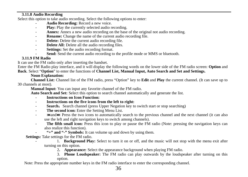# <span id="page-35-0"></span>**3.11.8 Audio Recording**

Select this option to take audio recording. Select the following options to enter:

- **Audio Recording:** Record a new voice.
- **Play:** Play the currently selected audio recording.
- **Annex:** Annex a new audio recording on the base of the original not audio recording.
- **Rename:** Change the name of the current audio recording file.
- **Delete:** Delete the current audio recording file.
- **Delete All:** Delete all the audio recording files.
- **Settings:** Set the audio recording format.
- Send: Send the current audio recording to the profile mode or MMS or bluetooth.

# **3.11.9 FM Radio**

<span id="page-35-1"></span>It can use the FM radio only after inserting the handset.

Enter the FM Radio play interface, and it will display the following words on the lower side of the FM radio screen: **Option** and **Back**. Select "**Option**" to enter the functions of **Channel List, Manual Input, Auto Search and Set and Settings.** 

## **Noun Explanation:**

**Channel List:** Channel list of the FM radio, press "Option" key to **Edit** and **Play** the current channel. (It can save up to 30 channels at most).

**Manual Input:** You can input any favorite channel of the FM radio.

**Auto Search and Set:** Select this option to search channel automatically and generate the list.

- **Instructions on Icon Function:**
- **Instructions on the five icons from the left to right:**
- **Search:** Search channel (press Upper Negation key to switch start or stop searching)
- **The second icon:** Enter the Setting Menu List.
- and Press the two icons to automatically search to the previous channel and the next channel (it can also use the left and right navigation keys to switch among channels).
- **The fifth small icon:** Press this icon to play or pause the FM radio (Note: pressing the navigation keys can also realize this function).
- **"+" and "-" Symbols:** It can volume up and down by using them.

**Settings:** Take settings for the FM radio.

- <sup>2</sup> 1. **Background Play:** Select to turn it on or off, and the music will not stop with the menu exit after turning on this option.
	- 2**. Appearance:** Select the appearance background when playing FM radio.

3. **Phone Loudspeaker:** The FM radio can play outwards by the loudspeaker after turning on this option.

Note: Press the appropriate number keys in the FM radio interface to enter the corresponding channel.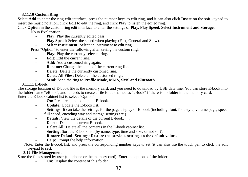# <span id="page-36-0"></span>**3.11.10 Custom Ring**

Select **Add** to enter the ring edit interface, press the number keys to edit ring, and it can also click **Insert** on the soft keypad to insert the music notation, click **Edit** to edit the ring, and click **Play** to listen the edited ring.

Click **Option** in the custom ring edit interface to enter the settings of **Play, Play Speed, Select Instrument and Storage.** 

Noun Explanation:

- **Play:** Play the currently edited bass.
- **Play Speed:** Select the speed when playing (Fast, General and Slow).
- Select Instrument: Select an instrument to edit ring.

Press "Option" to enter the following after saving the custom ring:

- **Play:** Play the currently selected ring.
- **Edit:** Edit the current ring.
- Add: Add a customed ring again.
- **Rename:** Change the name of the current ring file.
- **Delete:** Delete the currently customed ring.
- **Delete All Files:** Delete all the customed rings.
- **Send:** Send the ring to **Profile Mode, MMS, SMS and Bluetooth.**

<span id="page-36-1"></span>**3.11.11 E-book**<br>The storage location of E-book file is the memory card, and you need to download by USB data line. You can store E-book into the folder name "eBook", and it needs to create a file folder named as "eBook" if there is no folder in the memory card. Enter the E-book cabinet list to select "Option":

- **On:** It can read the content of E-book.
- **Update:** Update the E-book list.
- **Settings:** It can take the settings for the page display of E-book (including: font, font style, volume page, speed, full speed, encoding way and storage settings etc.).
- **Details:** View the details of the current E-book. 。
- **Delete:** Delete the current E-book.
- **Delete All:** Delete all the contents in the E-book cabinet list.
- **Sorting:** Sort the E-book list (by name, type, time and size, or not sort).
- **Restore Default Settings: Restore the previous settings to the default values.**
- Help: Prompt the help information!

Note: Enter the E-book list, and press the corresponding number keys to set (it can also use the touch pen to click the soft keypad to set).

# **3.12 File Management**

<span id="page-36-2"></span>Store the files stored by user (the phone or the memory card). Enter the options of the folder:

**On:** Display the content of this folder.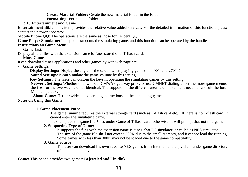- **Create Material Folder:** Create the new material folder in the folder.

- **Formatting:** Format this folder.

**3.13 Entertainment and Game** 

<span id="page-37-0"></span>**Entertainment Bible:** This item provides the relative value-added services. For the detailed information of this function, please contact the network operator.

**Mobile Phone QQ:** The operations are the same as those for Tencent QQ.

**Game Player Simulator:** This phone supports the simulating game, and this function can be operated by the handle.

# **Instructions on Game Menu:**

# **- Game List:**

Display all the files with the extension name is \* nes stored onto T-flash card.

# **- More Games:**

It can download \*.nes applications and other games by wap web page etc.

**- Game Settings:** 

**Display Settings:** Display the angle of the screen when playing game  $(0^\circ, 90^\circ, 90^\circ)$  and  $(270^\circ, 90^\circ)$ 

**Sound Settings:** It can simulate the game volume by this setting.

**Key Settings:** The users can custom the keys in operating the simulating games by this setting.<br>Network Settings: Whether to download. CMWAP gateway proxy or use CMNET dialing under the more game menus.

the fees for the two ways are not identical. The supports in the different areas are not same. It needs to consult the local Mobile operator.

**About Game:** Here provides the operating instructions on the simulating game.

# **Notes on Using this Game:**

# **1. Game Placement Path:**

The game running requires the external storage card (such as T-flash card etc.). If there is no T-flash card, it cannot enter the simulating game.

It shall place the game file \*.nes under Game of T-flash card, otherwise, it will prompt that not find game.

# **2. Supporting Type of Game:**

It supports the files with the extension name is \*.nes, that FC simulator, or called as NES simulator. The size of the game file shall not exceed 500K due to the small memory, and it cannot load the running. Some games with less than 300K may not be loaded due to the game compatibility.

# **3. Game Source:**

The user can download his own favorite NES games from Internet, and copy them under game directory of the phone to play.

# **Game:** This phone provides two games: **Bejeweled and Linklink.**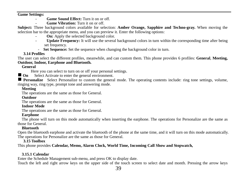### **Game Settings:**

- **Game Sound Effect:** Turn it on or off.
- **Game Vibration:** Turn it on or off.

**Subject:** Three background colors available for selection: **Amber Orange, Sapphire and Techno-gray.** When moving the selection bar to the appropriate menu, and you can preview it. Enter the following options:

- **On:** Apply the selected background color.
- **Update Frequency:** It will use the several background colors in turn within the corresponding time after being set frequency.
	- **Set Sequence:** Set the sequence when changing the background color in turn.

# **3.14 Profiles**

<span id="page-38-0"></span>The user can select the different profiles, meanwhile, and can custom them. This phone provides 6 profiles: **General**, **Meeting, Outdoor, Indoor, Earphone and Bluetooth.** 

# <span id="page-38-1"></span>**General**

Here you can select to turn on or off your personal settings.

**On** Select Activate to enter the general environment.

**Personalize** Select Personalize to custom the general mode. The operating contents include: ring tone settings, volume, ringing way, ring type, prompt tone and answering mode.

# <span id="page-38-2"></span>**Meeting**

The operations are the same as those for General.

## <span id="page-38-3"></span>**Outdoor**

The operations are the same as those for General.

# <span id="page-38-4"></span>**Indoor Mode**

The operations are the same as those for General.

# **Earphone**

<span id="page-38-5"></span>The phone will turn on this mode automatically when inserting the earphone. The operations for Personalize are the same as those for General.

# **Bluetooth**

<span id="page-38-6"></span>Open the bluetooth earphone and activate the bluetooth of the phone at the same time, and it will turn on this mode automatically. The operations for Personalize are the same as those for General.

# **3.15 Toolbox**

<span id="page-38-7"></span>This phone provides **Calendar, Memo, Alarm Clock, World Time, Incoming Call Show and Stopwatch,** 

# <span id="page-38-8"></span>**3.15.1 Calendar**

Enter the Schedule Management sub-menu, and press OK to display date.

Touch the left and right arrow keys on the upper side of the touch screen to select date and month. Pressing the arrow keys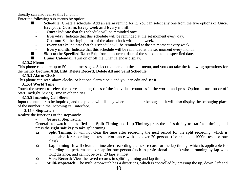directly can also realize this function.

Enter the following sub-menus by option:<br>  $\blacksquare$  Schedule: Create a schedule:

- **Schedule:** Create a schedule. Add an alarm remind for it. You can select any one from the five options of **Once**, **Everyday, Custom, Every week and Every month**.
	- **Once:** Indicate that this schedule will be reminded once.
	- **Everyday:** Indicate that this schedule will be reminded at the set moment every day.
	- **Custom:** Set the ringing time of the alarm clock within one week.
	- **Every week:** Indicate that this schedule will be reminded at the set moment every week.
- **Every month:** Indicate that this schedule will be reminded at the set moment every month.
- **Skip to the Specified Date:** Skip from the current date of the schedule to the specified date.<br>■ **I unar Calendar:** Turn on or off the lunar calendar display
	- **Lunar Calendar:** Turn on or off the lunar calendar display.

# **3.15.2 Memo**

<span id="page-39-0"></span>This phone can store up to 50 memo messages. Select the memo in the sub-menu, and you can take the following operations for the memo: **Browse, Add, Edit, Delete Record, Delete All and Send Schedule.** 

# **3.15.3 Alarm Clock**

<span id="page-39-2"></span><span id="page-39-1"></span>This phone can set 5 alarm clocks. Select one alarm clock, and you can edit and set it.

# **3.15.4 World Time**

Touch the screen to select the corresponding times of the individual countries in the world, and press Option to turn on or off Start Daylight Saving Time in other cities.

# **3.15.5 Incoming Call Show**

<span id="page-39-3"></span>Input the number to be inquired, and the phone will display where the number belongs to; it will also display the belonging place of the number in the incoming call interface.

# **3.15.6 Stopwatch**

<span id="page-39-4"></span>Realize the functions of the stopwatch:

# - **General Stopwatch:**

General stopwatch is classified into **Split Timing** and **Lap Timing,** press the left soft key to start/stop timing, and press the **right soft key** to take split timing.<br> $\triangle$  **Split Timing:** It will not clear the

- **Split Timing:** It will not clear the time after recording the next record for the split recording, which is applicable for recording the test performance with not over 20 persons (for example, 1000m test for one class).
- **Lap Timing:** It will clear the time after recording the next record for the lap timing, which is applicable for recording the performance per lap for one person (such as professional athlete) who is running by lap with long distance, and cannot be over 20 laps at most.
- $\triangle$  **View Record:** View the saved records in splitting timing and lap timing.
- **Multi-stopwatch:** The multi-stopwatch has 4 directions, which is controlled by pressing the up, down, left and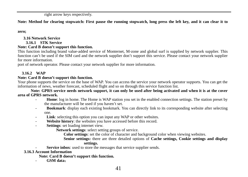right arrow keys respectively.

**Note: Method for clearing stopwatch: First pause the running stopwatch, long press the left key, and it can clear it to** 

**zero;** 

### <span id="page-40-1"></span><span id="page-40-0"></span>**3.16 Network Service 3.16.1 STK Service Note: Card B doesn't support this function.**

This function including brand value-added service of Monternet, M-zone and global surf is supplied by network supplier. This function can't be used if the SIM card and the network supplier don't support this service. Please contact your network supplier for more information.

port of network operator. Please contact your network supplier for more information.

# <span id="page-40-2"></span>**3.16.2 WAP**

## **Note: Card B doesn't support this function.**

Your phone supports the service on the base of WAP. You can access the service your network operator supports. You can get the information of news, weather forecast, scheduled flight and so on through this service function list.

**Note: GPRS service needs network support, it can only be used after being activated and when it is at the cover area of GPRS network.** 

- **Home**: log in home. The Home is WAP station you set in the enabled connection settings. The station preset by the manufacturer will be used if you haven't set.
- **Bookmark**: display each existing bookmark. You can directly link to its corresponding website after selecting one.
- **Link**: selecting this option you can input any WAP or other websites.
- **Website history**: the websites you have accessed before this record.
- **Settings**: set loading internet view.

**Network settings**: select setting groups of service.

**Color settings**: set the color of character and background color when viewing websites.

**Senior settings:** there are three detailed options of **Cache settings, Cookie settings and display settings.**

Service inbox: used to store the messages that service supplier sends.

### <span id="page-40-3"></span>**3.16.3 Account Information**

**Note: Card B doesn't support this function.**

- **GSM data**: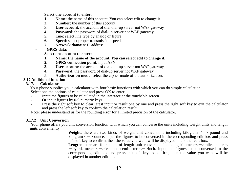**Select one account to enter:**<br>**1 Name:** the name of this

- **1. Name:** the name of this account. You can select edit to change it.<br>**2. Number:** the number of this account
- **2. Number**: the number of this account.<br>3. **User account**: the account of dial dia
- 3. **User account**: the account of dial dial-up server not WAP gateway.<br>**4. Password:** the password of dial-up server not WAP gateway.
- **4. Password:** the password of dial-up server not WAP gateway.<br>5. Line: select line type by analog or figure.
- **5.** Line: select line type by analog or figure.<br>**6. Speed:** select proper transmission speed.
- **6. Speed:** select proper transmission speed.<br>**7 Network domain:** IP address
- **7. Network domain**: IP address.
- **GPRS data:**

**Select one account to enter:**<br>**1** Name: the name of the

- **1. Name: the name of the account. You can select edit to change it.**<br>**2. GPRS connection point:** input APN.
- **2. GPRS connection point**: input APN.
- **3. User account**: the account of dial dial-up server not WAP gateway.<br>**4 Password:** the password of dial-up server not WAP gateway.
- **4. Password:** the password of dial-up server not WAP gateway.<br> **4. Authorization mode** select the cinner mode of the authoriza
- 5. **Authorization mode**: select the cipher mode of the authorization.

# <span id="page-41-1"></span><span id="page-41-0"></span>**3.17 Additional function**

### **3.17.1 Calculator**

Your phone supplies you a calculator with four basic functions with which you can do simple calculation. Select one the options of calculator and press OK to enter.<br>- Input the figures to be calculated in the interface at the touchable screen.

- 
- 
- Or input figures by 0-9 numeric keys.<br>Press the right soft key to clear latest input or result one by one and press the right soft key to exit the calculator and press the left soft key to confirm the calculation result.

Note: please understand us for the rounding error for a limited precision of the calculator.

# <span id="page-41-2"></span>**3.17.2 Unit Conversion**

Your phone offers you unit conversion function with which you can converse the units including weight units and length units conveniently

- **Weight**: there are two kinds of weight unit conversions including kilogram  $\langle \rangle$  pound and  $kilogram < -$  sounce. Input the figures to be conversed in the corresponding edit box and press left soft key to confirm, then the value you want will be displayed in another edit box.<br>**Length**: there are four kinds of length unit conversion including kilometer  $\langle$  ->mile, meter  $\langle$ 
	- $\rightarrow$  vard, meter  $\lt$   $\rightarrow$  feet and centimeter  $\lt$   $\gt$  inch. Input the figures to be conversed in the corresponding edit box and press left soft key to confirm, then the value you want will be displayed in another edit box.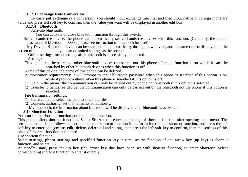# **3.17.3 Exchange Rate Conversion**

<span id="page-42-1"></span><span id="page-42-0"></span>To carry put exchange rate conversion, you should input exchange rate first and then input native or foreign monetary value and press left soft key to confirm, then the value you want will be displayed in another edit box.

# **3.17.4 Bluetooth**

- Activate blue tooth:

You can activate or close blue tooth function through this switch.

 - Search handsfree device: the phone can automatically search handsfree devices with this function. (Generally, the default password of bluetooth is 0000, please see instruction of bluetooth headset)

- My Device: Bluetooth device can be searched out automatically through new device, and its name can be displayed on the screen of the phone, then you can do suited settings as the prompt

- Online settings: menu settings after bluetooth is successfully connected. - Settings:

This phone can be searched: other bluetooth devices can search out this phone after this function is on which it can't be searched by other bluetooth devices when this function is off.

Name of this device: the name of this phone can be defined.

Authorization requirements: it will prompt to input bluetooth password when this phone is searched if this option is on, while it prompt nothing when this phone is searched if this option is off.

- (1) Hold in the phone: the communication can only be carried out by phone not bluetooth if this option is selected.
- (2) Transfer to handsfree device: the communication can only be carried out by the bluetooth not the phone if this option is selected.

File transmission settings:

- (1) Share contents: select the path to share the files.
- (2) Contents authority: set the transmission authority.
- My bluetooth: the information about bluetooth will be displayed after bluetooth is activated.

# **3.18 Shortcut Function**

<span id="page-42-2"></span>You can set the shortcut function you like in this function.

This phone offers shortcut functions. Select **Shortcut** to enter the settings of shortcut function after opening main menu. The settings method is as follows: select one piece of shortcut function in the main interface of shortcut function, and press the left soft key to enter edit (**create, edit, delete, delete all** and so on), then press the **left soft key** to confirm, then the settings of this piece of shortcut function is finished.

Use shortcut function:

Select **settings, phone settings** and **specified function key** in turn, set the function of one arrow key (up key) as shortcut function, and select OK.

At standby state, press the **up key** (the arrow key that have been set with shortcut function) to enter **Shortcut**. Select corresponding shortcut function to enter it directly.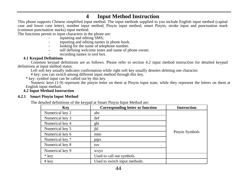<span id="page-43-0"></span><sup>4</sup> Input Method Instruction<br>This phone supports Chinese simplified input method. The input methods supplied to you include English input method (capital case and lower case letter), number input method. Pinyin input method, smart Pinyin, stroke input and punctuation mark (common punctuation marks) input method.

The functions permit to input characters in the phone are:

- inputting and editing SMS:
- inputting and editing names in phone book.
- looking for the name of telephone number.
- self defining welcome notes and name of phone owner.
- recording names in tool box.

## **4.1 Keypad Definitions**

<span id="page-43-1"></span>Common keypad definitions are as follows. Please refer to section 4.2 input method instruction for detailed keypad definitions at input method status.

Left soft key usually indicates confirmation while right soft key usually denotes deleting one character.<br># key: you can switch among different input method through this key.

\* key: symbol input can be called out by this key.

Numeric keys (1-9) represent the pinyin letter on them at Pinyin input state, while they represent the letters on them at English input method.

# **4.2 Input Method Instruction**

### <span id="page-43-3"></span><span id="page-43-2"></span>**4.2.1 Smart Pinyin Input Method**

The detailed definitions of the keypad at Smart Pinyin Input Method are:

| Kev             | Corresponding letter or function | <b>Instruction</b> |
|-----------------|----------------------------------|--------------------|
| Numerical key 2 | abc                              |                    |
| Numerical key 3 | def                              |                    |
| Numerical key 4 | ghi                              |                    |
| Numerical key 5 | jkl                              |                    |
| Numerical key 6 | mno                              | Pinyin Symbols     |
| Numerical key 7 | pqrs                             |                    |
| Numerical key 8 | tuv                              |                    |
| Numerical key 9 | wxyz                             |                    |
| * key           | Used to call out symbols.        |                    |
| # key           | Used to switch input methods.    |                    |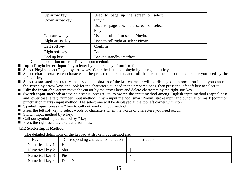| Up arrow key    | Used to page up the screen or select              |
|-----------------|---------------------------------------------------|
| Down arrow key  | Pinvin.                                           |
|                 | Used to page down the screen or select<br>Pinyin. |
| Left arrow key  | Used to roll left or select Pinyin.               |
| Right arrow key | Used to roll right or select Pinyin.              |
| Left soft key   | Confirm                                           |
| Right soft key  | <b>Back</b>                                       |
| End up key      | Back to standby interface                         |

- General operation order of Pinyin input method:<br>■ **Input Pinyin letter**: Input Pinyin letter by numeric keys from 1 to 9<br>■ **Select Pinyin**: select Pinyin by arrow key. Clear the last input pinyin by the right soft key.
- 
- Select characters: search character in the prepared characters and roll the screen then select the character you need by the left soft key.
- **Select associated character**: the associated phrases of the last character will be displayed in association input, you can roll the screen by arrow keys and look for the character you need in the prepared ones, then press
- 
- Edit the input character: move the cursor by the arrow keys and delete characters by the right soft key.<br>■ Switch input method: at text edit status, press # key to switch the input method among English input method.<br>and punctuation marks) input method. The select one will be displayed at the top left corner with icon.
- **Symbol input**: press the \* key to call out symbol input method.
- **Press the left soft key to select words or characters when the words or characters you need occur. P** Switch input method by  $*$  key.  $\blacksquare$  Call out symbol input method by  $*$  key.
- 
- 

Press the right soft key to clear error ones.

## <span id="page-44-0"></span>**4.2.2 Stroke Input Method**

The detailed definitions of the keypad at stroke input method are:

| Key             | Corresponding character or function | Instruction |
|-----------------|-------------------------------------|-------------|
| Numerical key 1 | Heng                                | $-$         |
| Numerical key 2 | Shu                                 |             |
| Numerical key 3 | Pie                                 |             |
| Numerical key 4 | Dian. Na                            |             |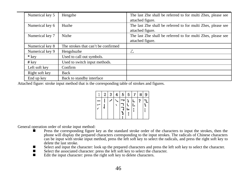| Numerical key 5 | Hengzhe                             | The last Zhe shall be referred to for multi Zhes, please see |
|-----------------|-------------------------------------|--------------------------------------------------------------|
|                 |                                     | attached figure.                                             |
| Numerical key 6 | Huzhe                               | The last Zhe shall be referred to for multi Zhes, please see |
|                 |                                     | attached figure.                                             |
| Numerical key 7 | Nizhe                               | The last Zhe shall be referred to for multi Zhes, please see |
|                 |                                     | attached figure.                                             |
| Numerical key 8 | The strokes that can't be confirmed |                                                              |
| Numerical key 9 | Hengshuzhe                          | Z                                                            |
| * key           | Used to call out symbols.           |                                                              |
| $#$ kev         | Used to switch input methods.       |                                                              |
| Left soft key   | Confirm                             |                                                              |
| Right soft key  | Back                                |                                                              |
| End up key      | Back to standby interface           |                                                              |

Attached figure: stroke input method that is the corresponding table of strokes and figures.

| Z | я | 5 | 6 | я | 9 |
|---|---|---|---|---|---|
|   |   |   |   |   |   |

- General operation order of stroke input method:<br>
Press the corresponding figure key as the standard stroke order of the characters to input the strokes, then the phone will display the prepared characters corresponding to the input strokes. The radicals of Chinese characters can be input with stroke input method, press the left soft key to select the radicals, and press the right soft key to delete the last stroke.
	- Select and input the character: look up the prepared characters and press the left soft key to select the character.<br>Select the associated character: press the left soft key to select the character.
	-
	- $\blacksquare$  Edit the input character: press the right soft key to delete characters.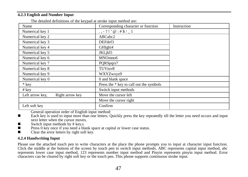# <span id="page-46-0"></span>**4.2.3 English and Number Input**

| univa aviinivado or me ne puu ur on one inpur incinoa ure |                                         |             |
|-----------------------------------------------------------|-----------------------------------------|-------------|
| Name                                                      | Corresponding character or function     | Instruction |
| Numerical key 1                                           | $\ldots$ - ?!' $@:#S/1$                 |             |
| Numerical key 2                                           | ABCabc2                                 |             |
| Numerical key 3                                           | DEFdef3                                 |             |
| Numerical key 4                                           | GHIghi4                                 |             |
| Numerical key 5                                           | JKLikl5                                 |             |
| Numerical key 6                                           | MNOmno6                                 |             |
| Numerical key 7                                           | PORSpgrs7                               |             |
| Numerical key 8                                           | TUVtuv8                                 |             |
| Numerical key 9                                           | WXYZwxyz9                               |             |
| Numerical key 0                                           | 0 and blank space                       |             |
| * kev                                                     | Press the * key to call out the symbols |             |
| $#$ key                                                   | Switch input methods                    |             |
| Right arrow key<br>Left arrow key,                        | Move the cursor left                    |             |
|                                                           | Move the cursor right                   |             |
| Left soft key                                             | Confirm                                 |             |
|                                                           |                                         |             |

The detailed definitions of the keypad at stroke input method are:

General operation order of English input method:

■ Each key is used to input more than one letters. Quickly press the key repeatedly till the letter you need occurs and input next letter when the cursor moves.<br>Switch input methods by  $#$  key.s

- 
- Switch input methods by # key.s <br>■ Press 0 key once if you need a blank space at capital or lower case status.
- Clear the error letters by right soft key.

## <span id="page-46-1"></span>**4.2.4 Handwriting Input**

Please use the attached touch pen to write characters at the place the phone prompts you to input at character input function. Click the middle at the bottom of the screen by touch pen to switch input methods. ABC represents capital input method, abc represents lower case input method, 123 represents number input method and Pinyin represents pinyin input method. Error characters can be cleared by right soft key or the touch pen. This phone supports continuous stroke input.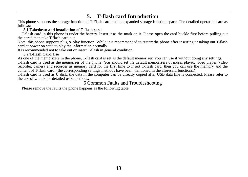# **5. T-flash card Introduction**

<span id="page-47-0"></span>This phone supports the storage function of T-Flash card and its expanded storage function space. The detailed operations are as follows:

## **5.1 Takedown and installation of T-flash card**

<span id="page-47-1"></span>T-flash card in this phone is under the battery. Insert it as the mark on it. Please open the card buckle first before pulling out the cared then take T-flash card out.

Note: this phone supports plug & play function. While it is recommended to restart the phone after inserting or taking out T-flash card at power on state to play the information normally.

It is recommended not to take out or insert T-flash in general condition.

<span id="page-47-2"></span>**5.2 T-flash Card Use**<br>As one of the memorizers in the phone. T-flash card is set as the default memorizer. You can use it without doing any settings.

T-flash card is used as the memorizer of the phone: You should set the default memorizers of music player, video player, video recorder. camera and recorder as memory card for the first time to insert T-flash card, then yo content of T-flash card, (the corresponding settings methods have been mentioned in the aforesaid functions.)<br>T-flash card is used as U disk: the data in the computer can be directly copied after USB data line is connected

the use of U disk for detailed used methods.

6 Common Faults and Troubleshooting

<span id="page-47-3"></span>Please remove the faults the phone happens as the following table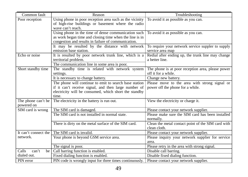| Common fault                     | Reason                                                                                                                                                                | Troubleshooting                                                          |
|----------------------------------|-----------------------------------------------------------------------------------------------------------------------------------------------------------------------|--------------------------------------------------------------------------|
| Poor reception                   | Using phone in poor reception area such as the vicinity<br>of high-rise buildings or basement where the radio<br>wave can't reach.                                    | To avoid it as possible as you can.                                      |
|                                  | Using phone in the time of dense communication such<br>as work began time and closing time when the line is in<br>congestion and results in failure of communication. | To avoid it as possible as you can.                                      |
|                                  | It may be resulted by the distance with network<br>emission base station.                                                                                             | To require your network service suppler to supply<br>service area map    |
| Echo or noise                    | It is resulted by poor network trunk line, which is a<br>territorial problem.<br>The communication line in some area is poor.                                         | Redial after ending up, the trunk line may change<br>a better line.      |
| Short standby time               | The standby time is related with network system<br>settings.                                                                                                          | The phone is at poor reception area, please power<br>off it for a while. |
|                                  | It is necessary to change battery.                                                                                                                                    | Change new battery.                                                      |
|                                  | The phone will continue to emit to search base station                                                                                                                | Please move to the area with strong signal or                            |
|                                  | if it can't receive signal, and then large number of                                                                                                                  | power off the phone for a while.                                         |
|                                  | electricity will be consumed, which short the standby<br>time.                                                                                                        |                                                                          |
| The phone can't be<br>powered on | The electricity in the battery is run out.                                                                                                                            | View the electricity or charge it.                                       |
| SIM card is wrong                | The SIM card is damaged.                                                                                                                                              | Please contact your network supplier.                                    |
|                                  | The SIM card is not installed in normal state.                                                                                                                        | Please make sure the SIM card has been installed<br>normally.            |
|                                  | There is dirty on the metal surface of the SIM card.                                                                                                                  | Clean the metal contact point of the SIM card with<br>clean cloth.       |
| It can't connect the             | The SIM card is invalid.                                                                                                                                              | Please contact your network supplier.                                    |
| network.                         | Your phone is beyond GSM service area.                                                                                                                                | Please inquiry your network supplier for service<br>area.                |
|                                  | The signal is poor.                                                                                                                                                   | Please retry in the area with strong signal.                             |
| Calls<br>can't<br>be             | Call barring function is enabled.                                                                                                                                     | Disable call barring.                                                    |
| dialed out.                      | Fixed dialing function is enabled.                                                                                                                                    | Disable fixed dialing function.                                          |
| PIN error                        | PIN code is wrongly input for three times continuously.                                                                                                               | Please contact your network supplier.                                    |